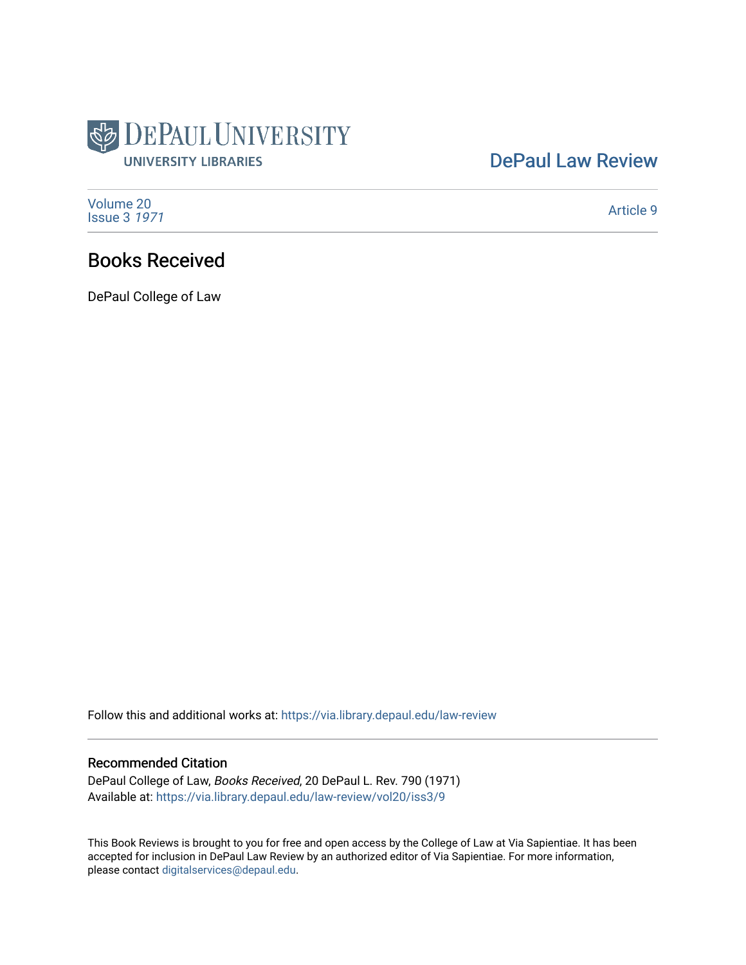

## [DePaul Law Review](https://via.library.depaul.edu/law-review)

[Volume 20](https://via.library.depaul.edu/law-review/vol20) [Issue 3](https://via.library.depaul.edu/law-review/vol20/iss3) 1971

[Article 9](https://via.library.depaul.edu/law-review/vol20/iss3/9) 

## Books Received

DePaul College of Law

Follow this and additional works at: [https://via.library.depaul.edu/law-review](https://via.library.depaul.edu/law-review?utm_source=via.library.depaul.edu%2Flaw-review%2Fvol20%2Fiss3%2F9&utm_medium=PDF&utm_campaign=PDFCoverPages) 

## Recommended Citation

DePaul College of Law, Books Received, 20 DePaul L. Rev. 790 (1971) Available at: [https://via.library.depaul.edu/law-review/vol20/iss3/9](https://via.library.depaul.edu/law-review/vol20/iss3/9?utm_source=via.library.depaul.edu%2Flaw-review%2Fvol20%2Fiss3%2F9&utm_medium=PDF&utm_campaign=PDFCoverPages) 

This Book Reviews is brought to you for free and open access by the College of Law at Via Sapientiae. It has been accepted for inclusion in DePaul Law Review by an authorized editor of Via Sapientiae. For more information, please contact [digitalservices@depaul.edu.](mailto:digitalservices@depaul.edu)